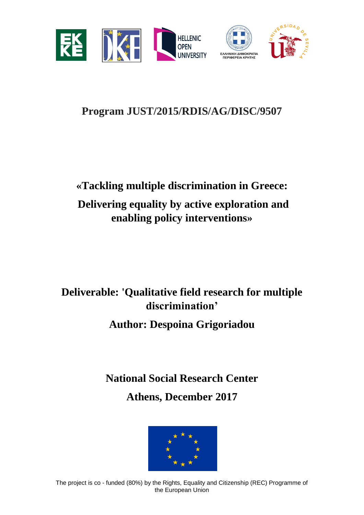

# **Program JUST/2015/RDIS/AG/DISC/9507**

# **«Tackling multiple discrimination in Greece: Delivering equality by active exploration and enabling policy interventions»**

# **Deliverable: 'Qualitative field research for multiple discrimination'**

**Author: Despoina Grigoriadou**

**National Social Research Center** 

**Athens, December 2017**

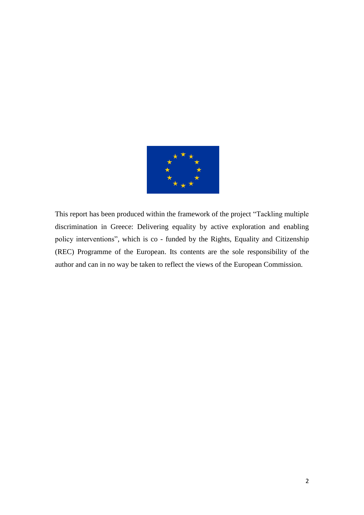

This report has been produced within the framework of the project "Tackling multiple discrimination in Greece: Delivering equality by active exploration and enabling policy interventions", which is co - funded by the Rights, Equality and Citizenship (REC) Programme of the European. Its contents are the sole responsibility of the author and can in no way be taken to reflect the views of the European Commission.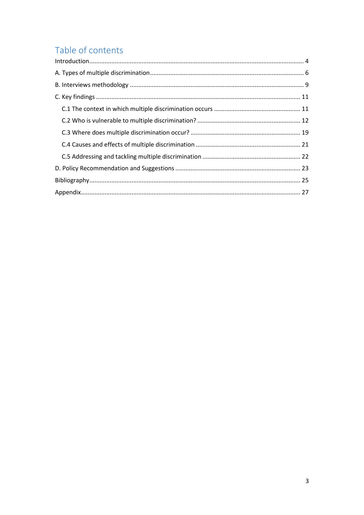## Table of contents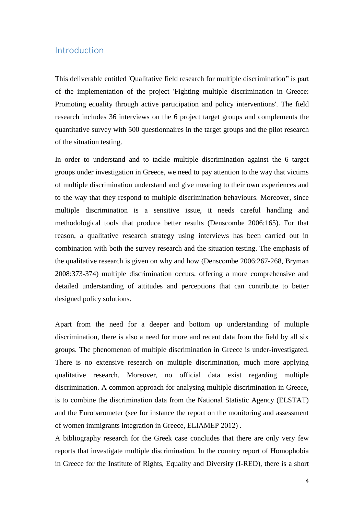#### <span id="page-3-0"></span>Introduction

This deliverable entitled 'Qualitative field research for multiple discrimination" is part of the implementation of the project 'Fighting multiple discrimination in Greece: Promoting equality through active participation and policy interventions'. The field research includes 36 interviews on the 6 project target groups and complements the quantitative survey with 500 questionnaires in the target groups and the pilot research of the situation testing.

In order to understand and to tackle multiple discrimination against the 6 target groups under investigation in Greece, we need to pay attention to the way that victims of multiple discrimination understand and give meaning to their own experiences and to the way that they respond to multiple discrimination behaviours. Moreover, since multiple discrimination is a sensitive issue, it needs careful handling and methodological tools that produce better results (Denscombe 2006:165). For that reason, a qualitative research strategy using interviews has been carried out in combination with both the survey research and the situation testing. The emphasis of the qualitative research is given on why and how (Denscombe 2006:267-268, Bryman 2008:373-374) multiple discrimination occurs, offering a more comprehensive and detailed understanding of attitudes and perceptions that can contribute to better designed policy solutions.

Apart from the need for a deeper and bottom up understanding of multiple discrimination, there is also a need for more and recent data from the field by all six groups. The phenomenon of multiple discrimination in Greece is under-investigated. There is no extensive research on multiple discrimination, much more applying qualitative research. Moreover, no official data exist regarding multiple discrimination. A common approach for analysing multiple discrimination in Greece, is to combine the discrimination data from the National Statistic Agency (ELSTAT) and the Eurobarometer (see for instance the report on the monitoring and assessment of women immigrants integration in Greece, ELIAMEP 2012) .

A bibliography research for the Greek case concludes that there are only very few reports that investigate multiple discrimination. In the country report of Homophobia in Greece for the Institute of Rights, Equality and Diversity (I-RED), there is a short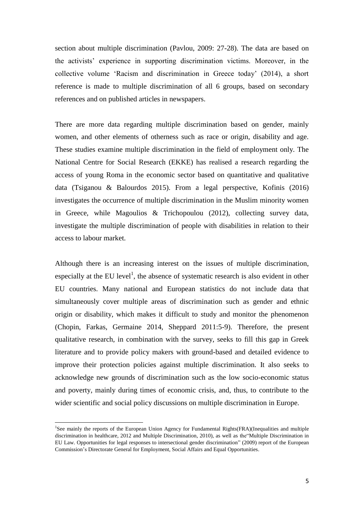section about multiple discrimination (Pavlou, 2009: 27-28). The data are based on the activists" experience in supporting discrimination victims. Moreover, in the collective volume "Racism and discrimination in Greece today" (2014), a short reference is made to multiple discrimination of all 6 groups, based on secondary references and on published articles in newspapers.

There are more data regarding multiple discrimination based on gender, mainly women, and other elements of otherness such as race or origin, disability and age. These studies examine multiple discrimination in the field of employment only. The National Centre for Social Research (EKKE) has realised a research regarding the access of young Roma in the economic sector based on quantitative and qualitative data (Tsiganou & Balourdos 2015). From a legal perspective, Kofinis (2016) investigates the occurrence of multiple discrimination in the Muslim minority women in Greece, while Magoulios & Trichopoulou (2012), collecting survey data, investigate the multiple discrimination of people with disabilities in relation to their access to labour market.

Although there is an increasing interest on the issues of multiple discrimination, especially at the EU level<sup>1</sup>, the absence of systematic research is also evident in other EU countries. Many national and European statistics do not include data that simultaneously cover multiple areas of discrimination such as gender and ethnic origin or disability, which makes it difficult to study and monitor the phenomenon (Chopin, Farkas, Germaine 2014, Sheppard 2011:5-9). Therefore, the present qualitative research, in combination with the survey, seeks to fill this gap in Greek literature and to provide policy makers with ground-based and detailed evidence to improve their protection policies against multiple discrimination. It also seeks to acknowledge new grounds of discrimination such as the low socio-economic status and poverty, mainly during times of economic crisis, and, thus, to contribute to the wider scientific and social policy discussions on multiple discrimination in Europe.

 $\overline{\phantom{a}}$ 

<sup>&</sup>lt;sup>1</sup>See mainly the reports of the European Union Agency for Fundamental Rights(FRA)(Inequalities and multiple discrimination in healthcare, 2012 and Multiple Discrimination, 2010), as well as the"Multiple Discrimination in EU Law. Opportunities for legal responses to intersectional gender discrimination" (2009) report of the European Commission"s Directorate General for Employment, Social Affairs and Equal Opportunities.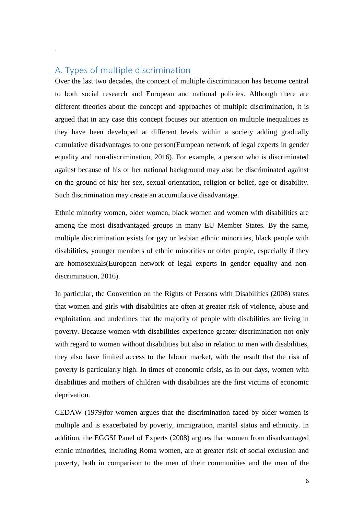#### <span id="page-5-0"></span>Α. Types of multiple discrimination

.

Over the last two decades, the concept of multiple discrimination has become central to both social research and European and national policies. Although there are different theories about the concept and approaches of multiple discrimination, it is argued that in any case this concept focuses our attention on multiple inequalities as they have been developed at different levels within a society adding gradually cumulative disadvantages to one person(European network of legal experts in gender equality and non-discrimination, 2016). For example, a person who is discriminated against because of his or her national background may also be discriminated against on the ground of his/ her sex, sexual orientation, religion or belief, age or disability. Such discrimination may create an accumulative disadvantage.

Ethnic minority women, older women, black women and women with disabilities are among the most disadvantaged groups in many EU Member States. By the same, multiple discrimination exists for gay or lesbian ethnic minorities, black people with disabilities, younger members of ethnic minorities or older people, especially if they are homosexuals(European network of legal experts in gender equality and nondiscrimination, 2016).

In particular, the Convention on the Rights of Persons with Disabilities (2008) states that women and girls with disabilities are often at greater risk of violence, abuse and exploitation, and underlines that the majority of people with disabilities are living in poverty. Because women with disabilities experience greater discrimination not only with regard to women without disabilities but also in relation to men with disabilities, they also have limited access to the labour market, with the result that the risk of poverty is particularly high. In times of economic crisis, as in our days, women with disabilities and mothers of children with disabilities are the first victims of economic deprivation.

CEDAW (1979)for women argues that the discrimination faced by older women is multiple and is exacerbated by poverty, immigration, marital status and ethnicity. In addition, the EGGSI Panel of Experts (2008) argues that women from disadvantaged ethnic minorities, including Roma women, are at greater risk of social exclusion and poverty, both in comparison to the men of their communities and the men of the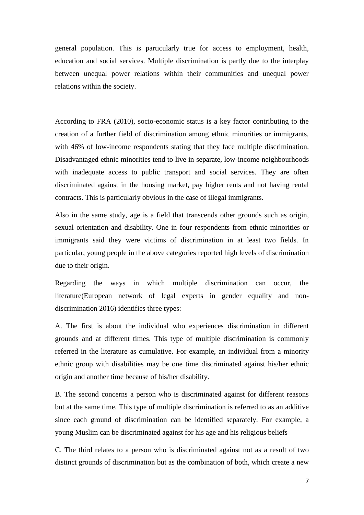general population. This is particularly true for access to employment, health, education and social services. Multiple discrimination is partly due to the interplay between unequal power relations within their communities and unequal power relations within the society.

According to FRA (2010), socio-economic status is a key factor contributing to the creation of a further field of discrimination among ethnic minorities or immigrants, with 46% of low-income respondents stating that they face multiple discrimination. Disadvantaged ethnic minorities tend to live in separate, low-income neighbourhoods with inadequate access to public transport and social services. They are often discriminated against in the housing market, pay higher rents and not having rental contracts. This is particularly obvious in the case of illegal immigrants.

Also in the same study, age is a field that transcends other grounds such as origin, sexual orientation and disability. One in four respondents from ethnic minorities or immigrants said they were victims of discrimination in at least two fields. In particular, young people in the above categories reported high levels of discrimination due to their origin.

Regarding the ways in which multiple discrimination can occur, the literature(European network of legal experts in gender equality and nondiscrimination 2016) identifies three types:

A. The first is about the individual who experiences discrimination in different grounds and at different times. This type of multiple discrimination is commonly referred in the literature as cumulative. For example, an individual from a minority ethnic group with disabilities may be one time discriminated against his/her ethnic origin and another time because of his/her disability.

B. The second concerns a person who is discriminated against for different reasons but at the same time. This type of multiple discrimination is referred to as an additive since each ground of discrimination can be identified separately. For example, a young Muslim can be discriminated against for his age and his religious beliefs

C. The third relates to a person who is discriminated against not as a result of two distinct grounds of discrimination but as the combination of both, which create a new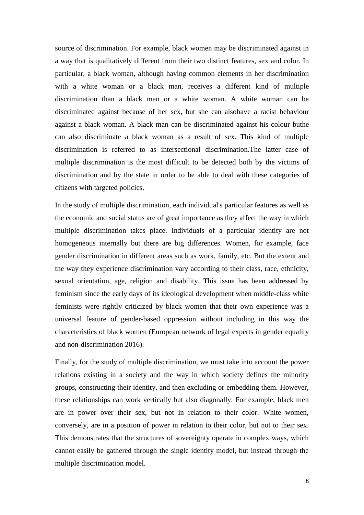source of discrimination. For example, black women may be discriminated against in a way that is qualitatively different from their two distinct features, sex and color. In particular, a black woman, although having common elements in her discrimination with a white woman or a black man, receives a different kind of multiple discrimination than a black man or a white woman. A white woman can be discriminated against because of her sex, but she can alsohave a racist behaviour against a black woman. A black man can be discriminated against his colour buthe can also discriminate a black woman as a result of sex. This kind of multiple discrimination is referred to as intersectional discrimination.The latter case of multiple discrimination is the most difficult to be detected both by the victims of discrimination and by the state in order to be able to deal with these categories of citizens with targeted policies.

In the study of multiple discrimination, each individual's particular features as well as the economic and social status are of great importance as they affect the way in which multiple discrimination takes place. Individuals of a particular identity are not homogeneous internally but there are big differences. Women, for example, face gender discrimination in different areas such as work, family, etc. But the extent and the way they experience discrimination vary according to their class, race, ethnicity, sexual orientation, age, religion and disability. This issue has been addressed by feminism since the early days of its ideological development when middle-class white feminists were rightly criticized by black women that their own experience was a universal feature of gender-based oppression without including in this way the characteristics of black women (European network of legal experts in gender equality and non-discrimination 2016).

Finally, for the study of multiple discrimination, we must take into account the power relations existing in a society and the way in which society defines the minority groups, constructing their identity, and then excluding or embedding them. However, these relationships can work vertically but also diagonally. For example, black men are in power over their sex, but not in relation to their color. White women, conversely, are in a position of power in relation to their color, but not to their sex. This demonstrates that the structures of sovereignty operate in complex ways, which cannot easily be gathered through the single identity model, but instead through the multiple discrimination model.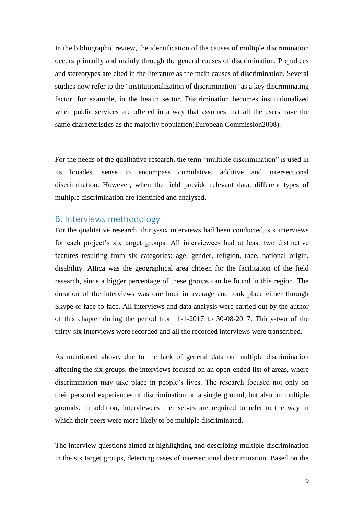In the bibliographic review, the identification of the causes of multiple discrimination occurs primarily and mainly through the general causes of discrimination. Prejudices and stereotypes are cited in the literature as the main causes of discrimination. Several studies now refer to the "institutionalization of discrimination" as a key discriminating factor, for example, in the health sector. Discrimination becomes institutionalized when public services are offered in a way that assumes that all the users have the same characteristics as the majority population(European Commission2008).

For the needs of the qualitative research, the term "multiple discrimination" is used in its broadest sense to encompass cumulative, additive and intersectional discrimination. However, when the field provide relevant data, different types of multiple discrimination are identified and analysed.

#### <span id="page-8-0"></span>B. Interviews methodology

For the qualitative research, thirty-six interviews had been conducted, six interviews for each project's six target groups. All interviewees had at least two distinctive features resulting from six categories: age, gender, religion, race, national origin, disability. Attica was the geographical area chosen for the facilitation of the field research, since a bigger percentage of these groups can be found in this region. The duration of the interviews was one hour in average and took place either through Skype or face-to-face. All interviews and data analysis were carried out by the author of this chapter during the period from 1-1-2017 to 30-08-2017. Thirty-two of the thirty-six interviews were recorded and all the recorded interviews were transcribed.

As mentioned above, due to the lack of general data on multiple discrimination affecting the six groups, the interviews focused on an open-ended list of areas, where discrimination may take place in people"s lives. The research focused not only on their personal experiences of discrimination on a single ground, but also on multiple grounds. In addition, interviewees themselves are required to refer to the way in which their peers were more likely to be multiple discriminated.

The interview questions aimed at highlighting and describing multiple discrimination in the six target groups, detecting cases of intersectional discrimination. Based on the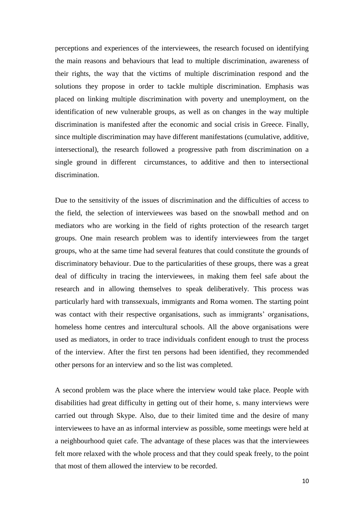perceptions and experiences of the interviewees, the research focused on identifying the main reasons and behaviours that lead to multiple discrimination, awareness of their rights, the way that the victims of multiple discrimination respond and the solutions they propose in order to tackle multiple discrimination. Emphasis was placed on linking multiple discrimination with poverty and unemployment, on the identification of new vulnerable groups, as well as on changes in the way multiple discrimination is manifested after the economic and social crisis in Greece. Finally, since multiple discrimination may have different manifestations (cumulative, additive, intersectional), the research followed a progressive path from discrimination on a single ground in different circumstances, to additive and then to intersectional discrimination.

Due to the sensitivity of the issues of discrimination and the difficulties of access to the field, the selection of interviewees was based on the snowball method and on mediators who are working in the field of rights protection of the research target groups. One main research problem was to identify interviewees from the target groups, who at the same time had several features that could constitute the grounds of discriminatory behaviour. Due to the particularities of these groups, there was a great deal of difficulty in tracing the interviewees, in making them feel safe about the research and in allowing themselves to speak deliberatively. This process was particularly hard with transsexuals, immigrants and Roma women. The starting point was contact with their respective organisations, such as immigrants' organisations, homeless home centres and intercultural schools. All the above organisations were used as mediators, in order to trace individuals confident enough to trust the process of the interview. After the first ten persons had been identified, they recommended other persons for an interview and so the list was completed.

A second problem was the place where the interview would take place. People with disabilities had great difficulty in getting out of their home, s. many interviews were carried out through Skype. Also, due to their limited time and the desire of many interviewees to have an as informal interview as possible, some meetings were held at a neighbourhood quiet cafe. The advantage of these places was that the interviewees felt more relaxed with the whole process and that they could speak freely, to the point that most of them allowed the interview to be recorded.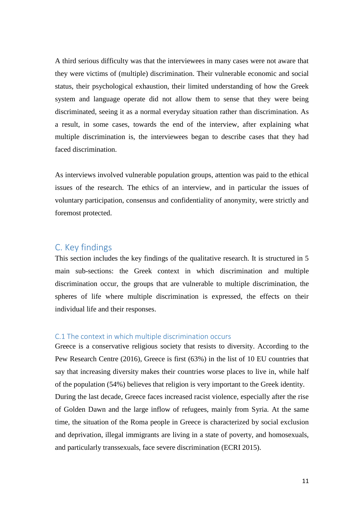A third serious difficulty was that the interviewees in many cases were not aware that they were victims of (multiple) discrimination. Their vulnerable economic and social status, their psychological exhaustion, their limited understanding of how the Greek system and language operate did not allow them to sense that they were being discriminated, seeing it as a normal everyday situation rather than discrimination. As a result, in some cases, towards the end of the interview, after explaining what multiple discrimination is, the interviewees began to describe cases that they had faced discrimination.

As interviews involved vulnerable population groups, attention was paid to the ethical issues of the research. The ethics of an interview, and in particular the issues of voluntary participation, consensus and confidentiality of anonymity, were strictly and foremost protected.

#### <span id="page-10-0"></span>C. Key findings

This section includes the key findings of the qualitative research. It is structured in 5 main sub-sections: the Greek context in which discrimination and multiple discrimination occur, the groups that are vulnerable to multiple discrimination, the spheres of life where multiple discrimination is expressed, the effects on their individual life and their responses.

#### <span id="page-10-1"></span>C.1 The context in which multiple discrimination occurs

Greece is a conservative religious society that resists to diversity. According to the Pew Research Centre (2016), Greece is first (63%) in the list of 10 EU countries that say that increasing diversity makes their countries worse places to live in, while half of the population (54%) believes that religion is very important to the Greek identity. During the last decade, Greece faces increased racist violence, especially after the rise of Golden Dawn and the large inflow of refugees, mainly from Syria. At the same time, the situation of the Roma people in Greece is characterized by social exclusion and deprivation, illegal immigrants are living in a state of poverty, and homosexuals, and particularly transsexuals, face severe discrimination (ECRI 2015).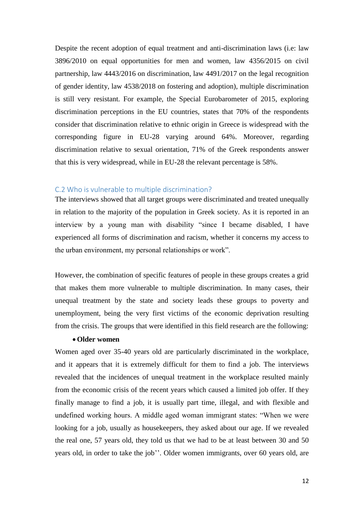Despite the recent adoption of equal treatment and anti-discrimination laws (i.e: law 3896/2010 on equal opportunities for men and women, law 4356/2015 on civil partnership, law 4443/2016 on discrimination, law 4491/2017 on the legal recognition of gender identity, law 4538/2018 on fostering and adoption), multiple discrimination is still very resistant. For example, the Special Eurobarometer of 2015, exploring discrimination perceptions in the EU countries, states that 70% of the respondents consider that discrimination relative to ethnic origin in Greece is widespread with the corresponding figure in EU-28 varying around 64%. Moreover, regarding discrimination relative to sexual orientation, 71% of the Greek respondents answer that this is very widespread, while in EU-28 the relevant percentage is 58%.

#### <span id="page-11-0"></span>C.2 Who is vulnerable to multiple discrimination?

The interviews showed that all target groups were discriminated and treated unequally in relation to the majority of the population in Greek society. As it is reported in an interview by a young man with disability "since I became disabled, I have experienced all forms of discrimination and racism, whether it concerns my access to the urban environment, my personal relationships or work".

However, the combination of specific features of people in these groups creates a grid that makes them more vulnerable to multiple discrimination. In many cases, their unequal treatment by the state and society leads these groups to poverty and unemployment, being the very first victims of the economic deprivation resulting from the crisis. The groups that were identified in this field research are the following:

#### **Older women**

Women aged over 35-40 years old are particularly discriminated in the workplace, and it appears that it is extremely difficult for them to find a job. The interviews revealed that the incidences of unequal treatment in the workplace resulted mainly from the economic crisis of the recent years which caused a limited job offer. If they finally manage to find a job, it is usually part time, illegal, and with flexible and undefined working hours. A middle aged woman immigrant states: "When we were looking for a job, usually as housekeepers, they asked about our age. If we revealed the real one, 57 years old, they told us that we had to be at least between 30 and 50 years old, in order to take the job". Older women immigrants, over 60 years old, are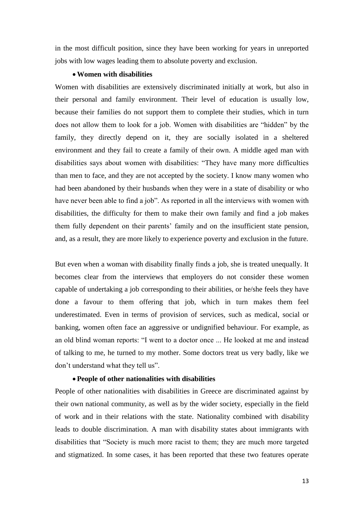in the most difficult position, since they have been working for years in unreported jobs with low wages leading them to absolute poverty and exclusion.

#### **Women with disabilities**

Women with disabilities are extensively discriminated initially at work, but also in their personal and family environment. Their level of education is usually low, because their families do not support them to complete their studies, which in turn does not allow them to look for a job. Women with disabilities are "hidden" by the family, they directly depend on it, they are socially isolated in a sheltered environment and they fail to create a family of their own. A middle aged man with disabilities says about women with disabilities: "They have many more difficulties than men to face, and they are not accepted by the society. I know many women who had been abandoned by their husbands when they were in a state of disability or who have never been able to find a job". As reported in all the interviews with women with disabilities, the difficulty for them to make their own family and find a job makes them fully dependent on their parents" family and on the insufficient state pension, and, as a result, they are more likely to experience poverty and exclusion in the future.

But even when a woman with disability finally finds a job, she is treated unequally. It becomes clear from the interviews that employers do not consider these women capable of undertaking a job corresponding to their abilities, or he/she feels they have done a favour to them offering that job, which in turn makes them feel underestimated. Even in terms of provision of services, such as medical, social or banking, women often face an aggressive or undignified behaviour. For example, as an old blind woman reports: "I went to a doctor once ... He looked at me and instead of talking to me, he turned to my mother. Some doctors treat us very badly, like we don"t understand what they tell us".

#### **People of other nationalities with disabilities**

People of other nationalities with disabilities in Greece are discriminated against by their own national community, as well as by the wider society, especially in the field of work and in their relations with the state. Nationality combined with disability leads to double discrimination. A man with disability states about immigrants with disabilities that "Society is much more racist to them; they are much more targeted and stigmatized. In some cases, it has been reported that these two features operate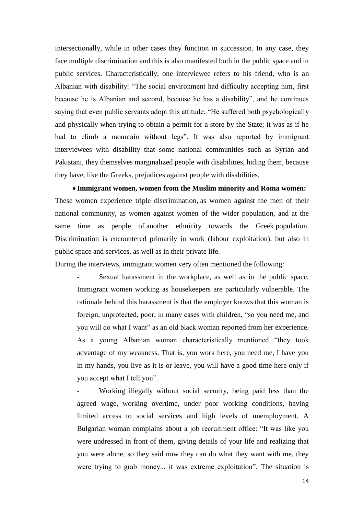intersectionally, while in other cases they function in succession. In any case, they face multiple discrimination and this is also manifested both in the public space and in public services. Characteristically, one interviewee refers to his friend, who is an Albanian with disability: "The social environment had difficulty accepting him, first because he is Albanian and second, because he has a disability", and he continues saying that even public servants adopt this attitude: "He suffered both psychologically and physically when trying to obtain a permit for a store by the State; it was as if he had to climb a mountain without legs". It was also reported by immigrant interviewees with disability that some national communities such as Syrian and Pakistani, they themselves marginalized people with disabilities, hiding them, because they have, like the Greeks, prejudices against people with disabilities.

 **Immigrant women, women from the Muslim minority and Roma women:** These women experience triple discrimination, as women against the men of their national community, as women against women of the wider population, and at the same time as people of another ethnicity towards the Greek population. Discrimination is encountered primarily in work (labour exploitation), but also in public space and services, as well as in their private life.

During the interviews, immigrant women very often mentioned the following:

Sexual harassment in the workplace, as well as in the public space. Immigrant women working as housekeepers are particularly vulnerable. The rationale behind this harassment is that the employer knows that this woman is foreign, unprotected, poor, in many cases with children, "so you need me, and you will do what I want" as an old black woman reported from her experience. As a young Albanian woman characteristically mentioned "they took advantage of my weakness. That is, you work here, you need me, I have you in my hands, you live as it is or leave, you will have a good time here only if you accept what I tell you".

Working illegally without social security, being paid less than the agreed wage, working overtime, under poor working conditions, having limited access to social services and high levels of unemployment. A Bulgarian woman complains about a job recruitment office: "It was like you were undressed in front of them, giving details of your life and realizing that you were alone, so they said now they can do what they want with me, they were trying to grab money... it was extreme exploitation". The situation is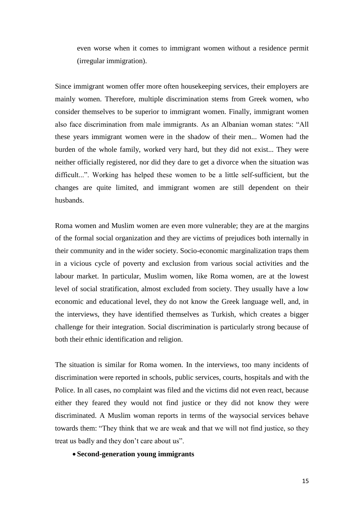even worse when it comes to immigrant women without a residence permit (irregular immigration).

Since immigrant women offer more often housekeeping services, their employers are mainly women. Therefore, multiple discrimination stems from Greek women, who consider themselves to be superior to immigrant women. Finally, immigrant women also face discrimination from male immigrants. As an Albanian woman states: "All these years immigrant women were in the shadow of their men... Women had the burden of the whole family, worked very hard, but they did not exist... They were neither officially registered, nor did they dare to get a divorce when the situation was difficult...". Working has helped these women to be a little self-sufficient, but the changes are quite limited, and immigrant women are still dependent on their husbands.

Roma women and Muslim women are even more vulnerable; they are at the margins of the formal social organization and they are victims of prejudices both internally in their community and in the wider society. Socio-economic marginalization traps them in a vicious cycle of poverty and exclusion from various social activities and the labour market. In particular, Muslim women, like Roma women, are at the lowest level of social stratification, almost excluded from society. They usually have a low economic and educational level, they do not know the Greek language well, and, in the interviews, they have identified themselves as Turkish, which creates a bigger challenge for their integration. Social discrimination is particularly strong because of both their ethnic identification and religion.

The situation is similar for Roma women. In the interviews, too many incidents of discrimination were reported in schools, public services, courts, hospitals and with the Police. In all cases, no complaint was filed and the victims did not even react, because either they feared they would not find justice or they did not know they were discriminated. A Muslim woman reports in terms of the waysocial services behave towards them: "They think that we are weak and that we will not find justice, so they treat us badly and they don"t care about us".

**Second-generation young immigrants**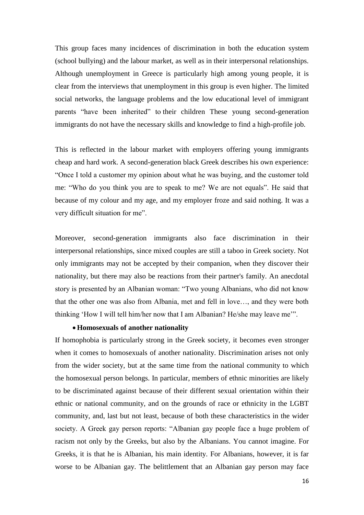This group faces many incidences of discrimination in both the education system (school bullying) and the labour market, as well as in their interpersonal relationships. Although unemployment in Greece is particularly high among young people, it is clear from the interviews that unemployment in this group is even higher. The limited social networks, the language problems and the low educational level of immigrant parents "have been inherited" to their children These young second-generation immigrants do not have the necessary skills and knowledge to find a high-profile job.

This is reflected in the labour market with employers offering young immigrants cheap and hard work. A second-generation black Greek describes his own experience: "Once I told a customer my opinion about what he was buying, and the customer told me: "Who do you think you are to speak to me? We are not equals". He said that because of my colour and my age, and my employer froze and said nothing. It was a very difficult situation for me".

Moreover, second-generation immigrants also face discrimination in their interpersonal relationships, since mixed couples are still a taboo in Greek society. Not only immigrants may not be accepted by their companion, when they discover their nationality, but there may also be reactions from their partner's family. An anecdotal story is presented by an Albanian woman: "Two young Albanians, who did not know that the other one was also from Albania, met and fell in love…, and they were both thinking "How I will tell him/her now that I am Albanian? He/she may leave me"".

#### **Homosexuals of another nationality**

If homophobia is particularly strong in the Greek society, it becomes even stronger when it comes to homosexuals of another nationality. Discrimination arises not only from the wider society, but at the same time from the national community to which the homosexual person belongs. In particular, members of ethnic minorities are likely to be discriminated against because of their different sexual orientation within their ethnic or national community, and on the grounds of race or ethnicity in the LGBT community, and, last but not least, because of both these characteristics in the wider society. Α Greek gay person reports: "Albanian gay people face a huge problem of racism not only by the Greeks, but also by the Albanians. You cannot imagine. For Greeks, it is that he is Albanian, his main identity. For Albanians, however, it is far worse to be Albanian gay. The belittlement that an Albanian gay person may face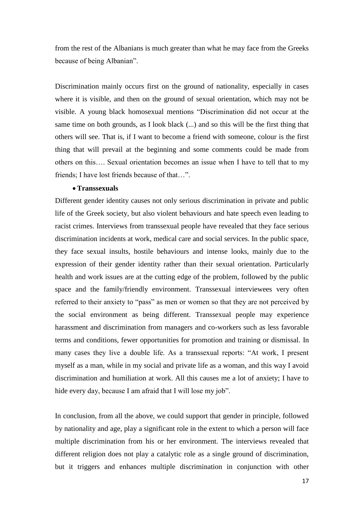from the rest of the Albanians is much greater than what he may face from the Greeks because of being Albanian".

Discrimination mainly occurs first on the ground of nationality, especially in cases where it is visible, and then on the ground of sexual orientation, which may not be visible. A young black homosexual mentions "Discrimination did not occur at the same time on both grounds, as I look black (...) and so this will be the first thing that others will see. That is, if I want to become a friend with someone, colour is the first thing that will prevail at the beginning and some comments could be made from others on this…. Sexual orientation becomes an issue when I have to tell that to my friends; I have lost friends because of that…".

#### **Transsexuals**

Different gender identity causes not only serious discrimination in private and public life of the Greek society, but also violent behaviours and hate speech even leading to racist crimes. Interviews from transsexual people have revealed that they face serious discrimination incidents at work, medical care and social services. In the public space, they face sexual insults, hostile behaviours and intense looks, mainly due to the expression of their gender identity rather than their sexual orientation. Particularly health and work issues are at the cutting edge of the problem, followed by the public space and the family/friendly environment. Transsexual interviewees very often referred to their anxiety to "pass" as men or women so that they are not perceived by the social environment as being different. Transsexual people may experience harassment and discrimination from managers and co-workers such as less favorable terms and conditions, fewer opportunities for promotion and training or dismissal. In many cases they live a double life. As a transsexual reports: "At work, I present myself as a man, while in my social and private life as a woman, and this way I avoid discrimination and humiliation at work. All this causes me a lot of anxiety; I have to hide every day, because I am afraid that I will lose my job".

In conclusion, from all the above, we could support that gender in principle, followed by nationality and age, play a significant role in the extent to which a person will face multiple discrimination from his or her environment. The interviews revealed that different religion does not play a catalytic role as a single ground of discrimination, but it triggers and enhances multiple discrimination in conjunction with other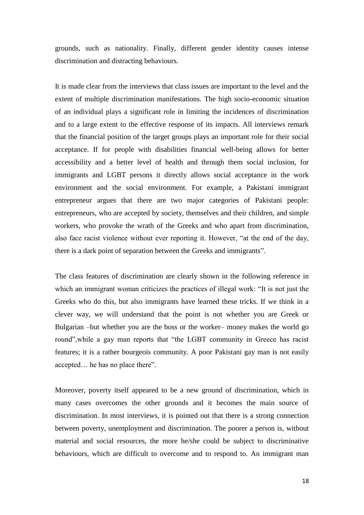grounds, such as nationality. Finally, different gender identity causes intense discrimination and distracting behaviours.

It is made clear from the interviews that class issues are important to the level and the extent of multiple discrimination manifestations. The high socio-economic situation of an individual plays a significant role in limiting the incidences of discrimination and to a large extent to the effective response of its impacts. All interviews remark that the financial position of the target groups plays an important role for their social acceptance. If for people with disabilities financial well-being allows for better accessibility and a better level of health and through them social inclusion, for immigrants and LGBT persons it directly allows social acceptance in the work environment and the social environment. For example, a Pakistani immigrant entrepreneur argues that there are two major categories of Pakistani people: entrepreneurs, who are accepted by society, themselves and their children, and simple workers, who provoke the wrath of the Greeks and who apart from discrimination, also face racist violence without ever reporting it. However, "at the end of the day, there is a dark point of separation between the Greeks and immigrants".

The class features of discrimination are clearly shown in the following reference in which an immigrant woman criticizes the practices of illegal work: "It is not just the Greeks who do this, but also immigrants have learned these tricks. If we think in a clever way, we will understand that the point is not whether you are Greek or Bulgarian –but whether you are the boss or the worker– money makes the world go round",while a gay man reports that "the LGBT community in Greece has racist features; it is a rather bourgeois community. A poor Pakistani gay man is not easily accepted… he has no place there".

Moreover, poverty itself appeared to be a new ground of discrimination, which in many cases overcomes the other grounds and it becomes the main source of discrimination. In most interviews, it is pointed out that there is a strong connection between poverty, unemployment and discrimination. The poorer a person is, without material and social resources, the more he/she could be subject to discriminative behaviours, which are difficult to overcome and to respond to. An immigrant man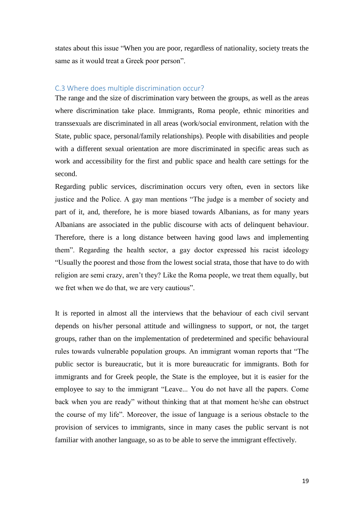states about this issue "When you are poor, regardless of nationality, society treats the same as it would treat a Greek poor person".

#### <span id="page-18-0"></span>C.3 Where does multiple discrimination occur?

The range and the size of discrimination vary between the groups, as well as the areas where discrimination take place. Immigrants, Roma people, ethnic minorities and transsexuals are discriminated in all areas (work/social environment, relation with the State, public space, personal/family relationships). People with disabilities and people with a different sexual orientation are more discriminated in specific areas such as work and accessibility for the first and public space and health care settings for the second.

Regarding public services, discrimination occurs very often, even in sectors like justice and the Police. A gay man mentions "The judge is a member of society and part of it, and, therefore, he is more biased towards Albanians, as for many years Albanians are associated in the public discourse with acts of delinquent behaviour. Therefore, there is a long distance between having good laws and implementing them". Regarding the health sector, a gay doctor expressed his racist ideology "Usually the poorest and those from the lowest social strata, those that have to do with religion are semi crazy, aren"t they? Like the Roma people, we treat them equally, but we fret when we do that, we are very cautious".

It is reported in almost all the interviews that the behaviour of each civil servant depends on his/her personal attitude and willingness to support, or not, the target groups, rather than on the implementation of predetermined and specific behavioural rules towards vulnerable population groups. An immigrant woman reports that "The public sector is bureaucratic, but it is more bureaucratic for immigrants. Both for immigrants and for Greek people, the State is the employee, but it is easier for the employee to say to the immigrant "Leave... You do not have all the papers. Come back when you are ready" without thinking that at that moment he/she can obstruct the course of my life". Moreover, the issue of language is a serious obstacle to the provision of services to immigrants, since in many cases the public servant is not familiar with another language, so as to be able to serve the immigrant effectively.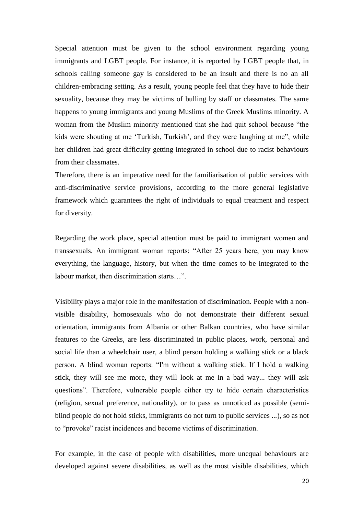Special attention must be given to the school environment regarding young immigrants and LGBT people. For instance, it is reported by LGBT people that, in schools calling someone gay is considered to be an insult and there is no an all children-embracing setting. As a result, young people feel that they have to hide their sexuality, because they may be victims of bulling by staff or classmates. The same happens to young immigrants and young Muslims of the Greek Muslims minority. A woman from the Muslim minority mentioned that she had quit school because "the kids were shouting at me 'Turkish, Turkish', and they were laughing at me'', while her children had great difficulty getting integrated in school due to racist behaviours from their classmates.

Therefore, there is an imperative need for the familiarisation of public services with anti-discriminative service provisions, according to the more general legislative framework which guarantees the right of individuals to equal treatment and respect for diversity.

Regarding the work place, special attention must be paid to immigrant women and transsexuals. An immigrant woman reports: "After 25 years here, you may know everything, the language, history, but when the time comes to be integrated to the labour market, then discrimination starts…".

Visibility plays a major role in the manifestation of discrimination. People with a nonvisible disability, homosexuals who do not demonstrate their different sexual orientation, immigrants from Albania or other Balkan countries, who have similar features to the Greeks, are less discriminated in public places, work, personal and social life than a wheelchair user, a blind person holding a walking stick or a black person. A blind woman reports: "I'm without a walking stick. If I hold a walking stick, they will see me more, they will look at me in a bad way... they will ask questions". Therefore, vulnerable people either try to hide certain characteristics (religion, sexual preference, nationality), or to pass as unnoticed as possible (semiblind people do not hold sticks, immigrants do not turn to public services ...), so as not to "provoke" racist incidences and become victims of discrimination.

For example, in the case of people with disabilities, more unequal behaviours are developed against severe disabilities, as well as the most visible disabilities, which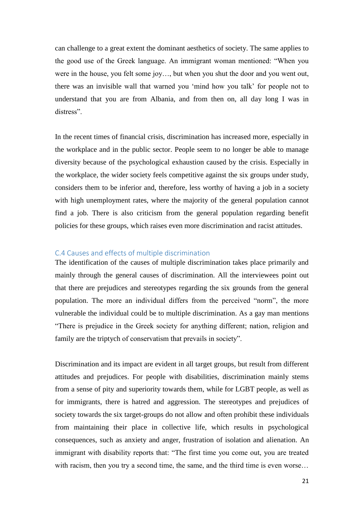can challenge to a great extent the dominant aesthetics of society. The same applies to the good use of the Greek language. An immigrant woman mentioned: "When you were in the house, you felt some joy…, but when you shut the door and you went out, there was an invisible wall that warned you "mind how you talk" for people not to understand that you are from Albania, and from then on, all day long I was in distress".

In the recent times of financial crisis, discrimination has increased more, especially in the workplace and in the public sector. People seem to no longer be able to manage diversity because of the psychological exhaustion caused by the crisis. Especially in the workplace, the wider society feels competitive against the six groups under study, considers them to be inferior and, therefore, less worthy of having a job in a society with high unemployment rates, where the majority of the general population cannot find a job. There is also criticism from the general population regarding benefit policies for these groups, which raises even more discrimination and racist attitudes.

#### <span id="page-20-0"></span>C.4 Causes and effects of multiple discrimination

The identification of the causes of multiple discrimination takes place primarily and mainly through the general causes of discrimination. All the interviewees point out that there are prejudices and stereotypes regarding the six grounds from the general population. The more an individual differs from the perceived "norm", the more vulnerable the individual could be to multiple discrimination. As a gay man mentions "There is prejudice in the Greek society for anything different; nation, religion and family are the triptych of conservatism that prevails in society".

Discrimination and its impact are evident in all target groups, but result from different attitudes and prejudices. For people with disabilities, discrimination mainly stems from a sense of pity and superiority towards them, while for LGBT people, as well as for immigrants, there is hatred and aggression. The stereotypes and prejudices of society towards the six target-groups do not allow and often prohibit these individuals from maintaining their place in collective life, which results in psychological consequences, such as anxiety and anger, frustration of isolation and alienation. An immigrant with disability reports that: "The first time you come out, you are treated with racism, then you try a second time, the same, and the third time is even worse...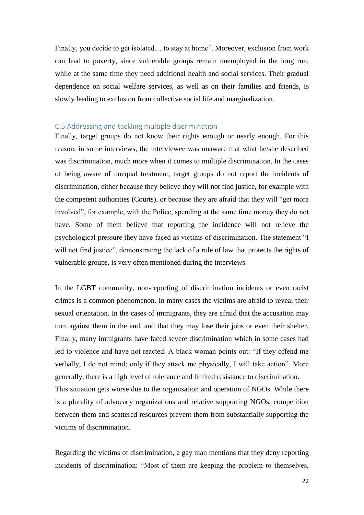Finally, you decide to get isolated… to stay at home". Moreover, exclusion from work can lead to poverty, since vulnerable groups remain unemployed in the long run, while at the same time they need additional health and social services. Their gradual dependence on social welfare services, as well as on their families and friends, is slowly leading to exclusion from collective social life and marginalization.

#### <span id="page-21-0"></span>C.5 Addressing and tackling multiple discrimination

Finally, target groups do not know their rights enough or nearly enough. For this reason, in some interviews, the interviewee was unaware that what he/she described was discrimination, much more when it comes to multiple discrimination. In the cases of being aware of unequal treatment, target groups do not report the incidents of discrimination, either because they believe they will not find justice, for example with the competent authorities (Courts), or because they are afraid that they will "get more involved", for example, with the Police, spending at the same time money they do not have. Some of them believe that reporting the incidence will not relieve the psychological pressure they have faced as victims of discrimination. The statement "I will not find justice", demonstrating the lack of a rule of law that protects the rights of vulnerable groups, is very often mentioned during the interviews.

In the LGBT community, non-reporting of discrimination incidents or even racist crimes is a common phenomenon. In many cases the victims are afraid to reveal their sexual orientation. In the cases of immigrants, they are afraid that the accusation may turn against them in the end, and that they may lose their jobs or even their shelter. Finally, many immigrants have faced severe discrimination which in some cases had led to violence and have not reacted. A black woman points out: "If they offend me verbally, I do not mind; only if they attack me physically, I will take action". More generally, there is a high level of tolerance and limited resistance to discrimination. This situation gets worse due to the organisation and operation of NGOs. While there is a plurality of advocacy organizations and relative supporting NGOs, competition between them and scattered resources prevent them from substantially supporting the victims of discrimination.

Regarding the victims of discrimination, a gay man mentions that they deny reporting incidents of discrimination: "Most of them are keeping the problem to themselves,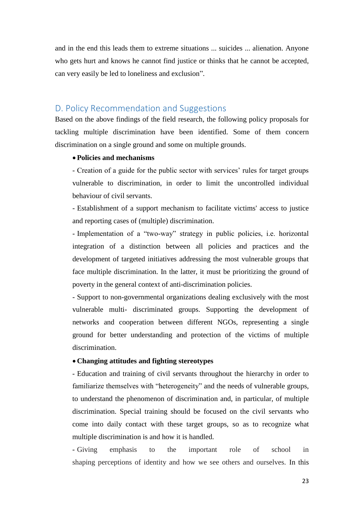and in the end this leads them to extreme situations ... suicides ... alienation. Anyone who gets hurt and knows he cannot find justice or thinks that he cannot be accepted, can very easily be led to loneliness and exclusion".

#### <span id="page-22-0"></span>D. Policy Recommendation and Suggestions

Based on the above findings of the field research, the following policy proposals for tackling multiple discrimination have been identified. Some of them concern discrimination on a single ground and some on multiple grounds.

#### **Policies and mechanisms**

- Creation of a guide for the public sector with services' rules for target groups vulnerable to discrimination, in order to limit the uncontrolled individual behaviour of civil servants.

- Establishment of a support mechanism to facilitate victims' access to justice and reporting cases of (multiple) discrimination.

- Implementation of a "two-way" strategy in public policies, i.e. horizontal integration of a distinction between all policies and practices and the development of targeted initiatives addressing the most vulnerable groups that face multiple discrimination. In the latter, it must be prioritizing the ground of poverty in the general context of anti-discrimination policies.

- Support to non-governmental organizations dealing exclusively with the most vulnerable multi- discriminated groups. Supporting the development of networks and cooperation between different NGOs, representing a single ground for better understanding and protection of the victims of multiple discrimination.

#### **Changing attitudes and fighting stereotypes**

- Education and training of civil servants throughout the hierarchy in order to familiarize themselves with "heterogeneity" and the needs of vulnerable groups, to understand the phenomenon of discrimination and, in particular, of multiple discrimination. Special training should be focused on the civil servants who come into daily contact with these target groups, so as to recognize what multiple discrimination is and how it is handled.

- Giving emphasis to the important role of school in shaping perceptions of identity and how we see others and ourselves. In this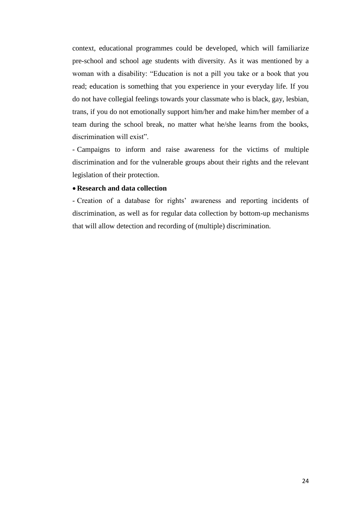context, educational programmes could be developed, which will familiarize pre-school and school age students with diversity. As it was mentioned by a woman with a disability: "Education is not a pill you take or a book that you read; education is something that you experience in your everyday life. If you do not have collegial feelings towards your classmate who is black, gay, lesbian, trans, if you do not emotionally support him/her and make him/her member of a team during the school break, no matter what he/she learns from the books, discrimination will exist".

- Campaigns to inform and raise awareness for the victims of multiple discrimination and for the vulnerable groups about their rights and the relevant legislation of their protection.

#### **Research and data collection**

- Creation of a database for rights' awareness and reporting incidents of discrimination, as well as for regular data collection by bottom-up mechanisms that will allow detection and recording of (multiple) discrimination.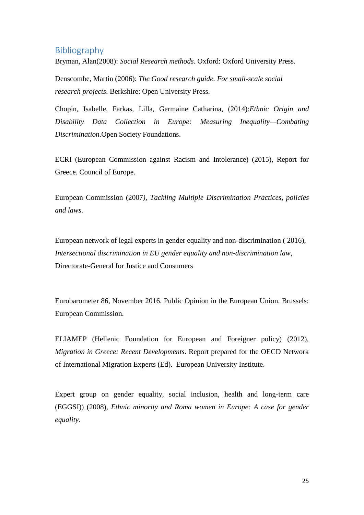### <span id="page-24-0"></span>Bibliography

Bryman, Alan(2008): *Social Research methods*. Oxford: Oxford University Press.

Denscombe, Martin (2006): *The Good research guide. For small-scale social research projects*. Berkshire: Open University Press.

Chopin, Isabelle, Farkas, Lilla, Germaine Catharina, (2014):*Ethnic Origin and Disability Data Collection in Europe: Measuring Inequality—Combating Discrimination*.Open Society Foundations.

ECRI (European Commission against Racism and Intolerance) (2015), Report for Greece. Council of Europe.

European Commission (2007*), Tackling Multiple Discrimination Practices, policies and laws*.

European network of legal experts in gender equality and non-discrimination ( 2016), *Intersectional discrimination in EU gender equality and non-discrimination law,* Directorate-General for Justice and Consumers

Eurobarometer 86, November 2016. Public Opinion in the European Union. Brussels: European Commission.

ELIAMEP (Hellenic Foundation for European and Foreigner policy) (2012), *Migration in Greece: Recent Developments*. Report prepared for the OECD Network of International Migration Experts (Ed). European University Institute.

Expert group on gender equality, social inclusion, health and long-term care (EGGSI)) (2008), *Ethnic minority and Roma women in Europe: A case for gender equality.*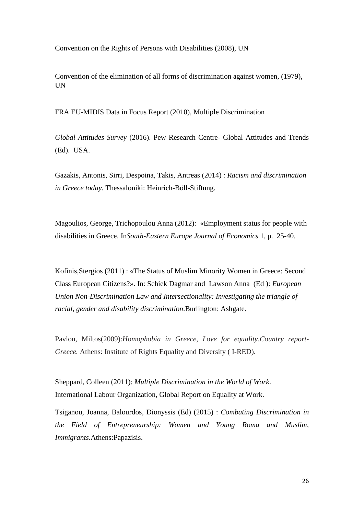Convention on the Rights of Persons with Disabilities (2008), UN

Convention of the elimination of all forms of discrimination against women, (1979), UN

FRA EU-MIDIS Data in Focus Report (2010), Multiple Discrimination

*Global Attitudes Survey* (2016). Pew Research Centre- Global Attitudes and Trends (Ed). USA.

Gazakis, Antonis, Sirri, Despoina, Takis, Antreas (2014) : *Racism and discrimination in Greece today.* Thessaloniki: Heinrich-Böll-Stiftung.

Magoulios, George, Trichopoulou Anna (2012): «Employment status for people with disabilities in Greece. In*South-Eastern Europe Journal of Economics* 1, p. 25-40.

Kofinis,Stergios (2011) : «The Status of Muslim Minority Women in Greece: Second Class European Citizens?». In: Schiek Dagmar and Lawson Anna (Ed ): *European Union Non-Discrimination Law and Intersectionality: Investigating the triangle of racial, gender and disability discrimination*.Burlington: Ashgate.

Pavlou, Miltos(2009):*Homophobia in Greece, Love for equality*,*Country report-Greece.* Athens: Institute of Rights Equality and Diversity ( I-RED).

Sheppard, Colleen (2011): *Multiple Discrimination in the World of Work*. International Labour Organization, Global Report on Equality at Work.

Tsiganou, Joanna, Balourdos, Dionyssis (Ed) (2015) : *Combating Discrimination in the Field of Entrepreneurship: Women and Young Roma and Muslim, Immigrants*.Athens:Papazisis.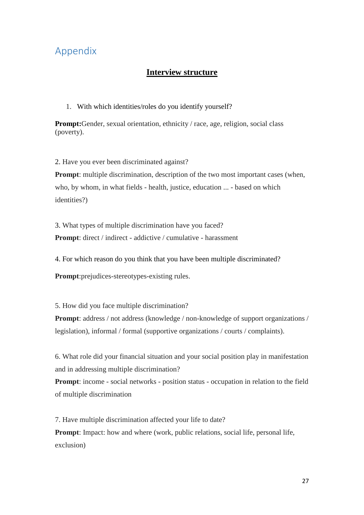### <span id="page-26-0"></span>Appendix

### **Interview structure**

1. With which identities/roles do you identify yourself?

**Prompt:**Gender, sexual orientation, ethnicity / race, age, religion, social class (poverty).

2. Have you ever been discriminated against?

**Prompt:** multiple discrimination, description of the two most important cases (when, who, by whom, in what fields - health, justice, education ... - based on which identities?)

3. What types of multiple discrimination have you faced? **Prompt**: direct / indirect - addictive / cumulative - harassment

4. For which reason do you think that you have been multiple discriminated?

**Prompt**:prejudices-stereotypes-existing rules.

5. How did you face multiple discrimination?

**Prompt**: address / not address (knowledge / non-knowledge of support organizations / legislation), informal / formal (supportive organizations / courts / complaints).

6. What role did your financial situation and your social position play in manifestation and in addressing multiple discrimination?

**Prompt**: income - social networks - position status - occupation in relation to the field of multiple discrimination

7. Have multiple discrimination affected your life to date?

**Prompt:** Impact: how and where (work, public relations, social life, personal life, exclusion)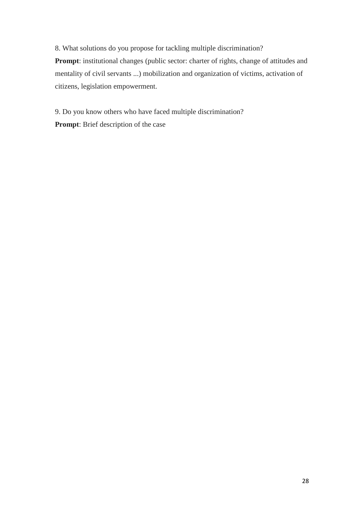8. What solutions do you propose for tackling multiple discrimination? **Prompt**: institutional changes (public sector: charter of rights, change of attitudes and mentality of civil servants ...) mobilization and organization of victims, activation of citizens, legislation empowerment.

9. Do you know others who have faced multiple discrimination? **Prompt**: Brief description of the case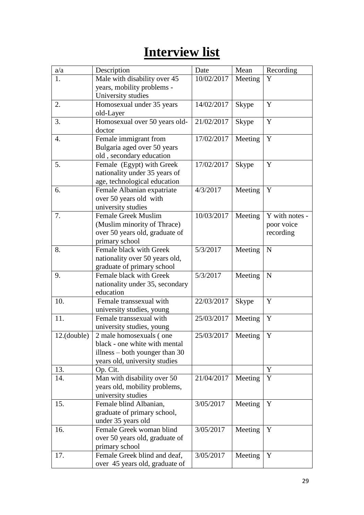# **Interview list**

| a/a         | Description                                      | Date                 | Mean         | Recording      |
|-------------|--------------------------------------------------|----------------------|--------------|----------------|
| 1.          | Male with disability over 45                     | 10/02/2017           | Meeting      | Y              |
|             | years, mobility problems -                       |                      |              |                |
|             | University studies                               |                      |              |                |
| 2.          | Homosexual under 35 years                        | 14/02/2017           | <b>Skype</b> | Y              |
|             | old-Layer                                        |                      |              |                |
| 3.          | Homosexual over 50 years old-                    | 21/02/2017           | <b>Skype</b> | Y              |
|             | doctor                                           |                      |              |                |
| 4.          | Female immigrant from                            | 17/02/2017           | Meeting      | Y              |
|             | Bulgaria aged over 50 years                      |                      |              |                |
|             | old, secondary education                         |                      |              |                |
| 5.          | Female (Egypt) with Greek                        | 17/02/2017           | <b>Skype</b> | Y              |
|             | nationality under 35 years of                    |                      |              |                |
|             | age, technological education                     |                      |              |                |
| 6.          | Female Albanian expatriate                       | 4/3/2017             | Meeting      | Y              |
|             | over 50 years old with                           |                      |              |                |
| 7.          | university studies<br><b>Female Greek Muslim</b> | 10/03/2017           |              | Y with notes - |
|             | (Muslim minority of Thrace)                      |                      | Meeting      | poor voice     |
|             | over 50 years old, graduate of                   |                      |              | recording      |
|             | primary school                                   |                      |              |                |
| 8.          | Female black with Greek                          | 5/3/2017             | Meeting      | N              |
|             | nationality over 50 years old,                   |                      |              |                |
|             | graduate of primary school                       |                      |              |                |
| 9.          | Female black with Greek                          | 5/3/2017             | Meeting      | $\mathbf N$    |
|             | nationality under 35, secondary                  |                      |              |                |
|             | education                                        |                      |              |                |
| 10.         | Female transsexual with                          | 22/03/2017           | <b>Skype</b> | Y              |
|             | university studies, young                        |                      |              |                |
| 11.         | Female transsexual with                          | 25/03/2017           | Meeting      | Y              |
|             | university studies, young                        |                      |              |                |
| 12.(double) | 2 male homosexuals (one                          | 25/03/2017   Meeting |              | $\mathbf Y$    |
|             | black - one white with mental                    |                      |              |                |
|             | illness $-$ both younger than 30                 |                      |              |                |
|             | years old, university studies                    |                      |              |                |
| 13.         | Op. Cit.                                         |                      |              | Y              |
| 14.         | Man with disability over 50                      | 21/04/2017           | Meeting      | Y              |
|             | years old, mobility problems,                    |                      |              |                |
|             | university studies                               |                      |              |                |
| 15.         | Female blind Albanian,                           | 3/05/2017            | Meeting      | Y              |
|             | graduate of primary school,                      |                      |              |                |
|             | under 35 years old                               |                      |              |                |
| 16.         | Female Greek woman blind                         | 3/05/2017            | Meeting      | Y              |
|             | over 50 years old, graduate of                   |                      |              |                |
|             | primary school                                   |                      |              |                |
| 17.         | Female Greek blind and deaf,                     | 3/05/2017            | Meeting      | Y              |
|             | over 45 years old, graduate of                   |                      |              |                |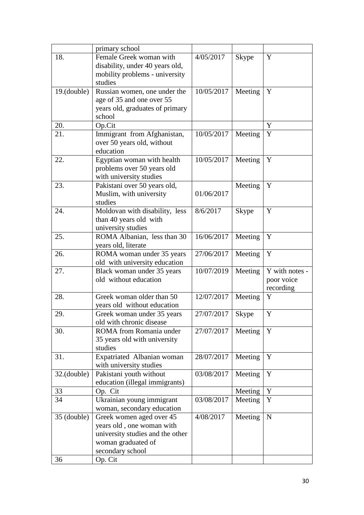|                | primary school                   |            |              |                |
|----------------|----------------------------------|------------|--------------|----------------|
| 18.            | Female Greek woman with          | 4/05/2017  | <b>Skype</b> | Y              |
|                | disability, under 40 years old,  |            |              |                |
|                | mobility problems - university   |            |              |                |
|                | studies                          |            |              |                |
| $19.$ (double) | Russian women, one under the     | 10/05/2017 | Meeting      | Y              |
|                | age of 35 and one over 55        |            |              |                |
|                | years old, graduates of primary  |            |              |                |
|                | school                           |            |              |                |
| 20.            | Op.Cit                           |            |              | Y              |
| 21.            | Immigrant from Afghanistan,      | 10/05/2017 | Meeting      | Y              |
|                | over 50 years old, without       |            |              |                |
|                | education                        |            |              |                |
| 22.            | Egyptian woman with health       | 10/05/2017 | Meeting      | Y              |
|                | problems over 50 years old       |            |              |                |
|                | with university studies          |            |              |                |
| 23.            | Pakistani over 50 years old,     |            | Meeting      | Y              |
|                | Muslim, with university          | 01/06/2017 |              |                |
|                | studies                          |            |              |                |
| 24.            | Moldovan with disability, less   | 8/6/2017   | <b>Skype</b> | $\mathbf Y$    |
|                | than 40 years old with           |            |              |                |
|                | university studies               |            |              |                |
| 25.            | ROMA Albanian, less than 30      | 16/06/2017 | Meeting      | Y              |
|                | years old, literate              |            |              |                |
| 26.            | ROMA woman under 35 years        | 27/06/2017 | Meeting      | Y              |
|                | old with university education    |            |              |                |
| 27.            | Black woman under 35 years       | 10/07/2019 | Meeting      | Y with notes - |
|                | old without education            |            |              | poor voice     |
|                |                                  |            |              | recording      |
| 28.            | Greek woman older than 50        | 12/07/2017 | Meeting      | Y              |
|                | years old without education      |            |              |                |
| 29.            | Greek woman under 35 years       | 27/07/2017 | <b>Skype</b> | Y              |
|                | old with chronic disease         |            |              |                |
| 30.            | ROMA from Romania under          | 27/07/2017 | Meeting      | Y              |
|                | 35 years old with university     |            |              |                |
|                | studies                          |            |              |                |
| 31.            | Expatriated Albanian woman       | 28/07/2017 | Meeting      | Y              |
|                | with university studies          |            |              |                |
| $32.$ (double) | Pakistani youth without          | 03/08/2017 | Meeting      | Y              |
|                | education (illegal immigrants)   |            |              |                |
| 33             | Op. Cit                          |            | Meeting      | Y              |
| 34             | Ukrainian young immigrant        | 03/08/2017 | Meeting      | Y              |
|                | woman, secondary education       |            |              |                |
| 35 (double)    | Greek women aged over 45         | 4/08/2017  | Meeting      | $\mathbf N$    |
|                | years old, one woman with        |            |              |                |
|                | university studies and the other |            |              |                |
|                | woman graduated of               |            |              |                |
|                | secondary school                 |            |              |                |
| 36             | Op. Cit                          |            |              |                |